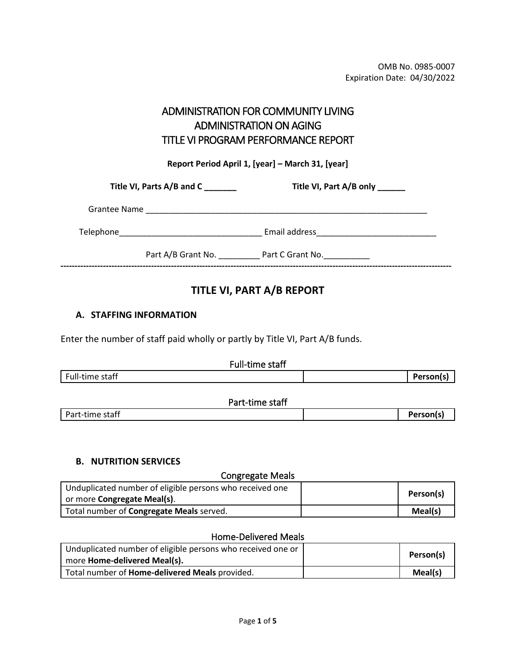Expiration Date: 04/30/2022 OMB No. 0985-0007

# ADMINISTRATION FOR COMMUNITY LIVING ADMINISTRATION ON AGING TITLE VI PROGRAM PERFORMANCE REPORT

**Report Period April 1, [year] – March 31, [year]** 

 **Title VI, Parts A/B and C \_\_\_\_\_\_\_ Title VI, Part A/B only \_\_\_\_\_\_** 

Grantee Name \_\_\_\_\_\_\_\_\_\_\_\_\_\_\_\_\_\_\_\_\_\_\_\_\_\_\_\_\_\_\_\_\_\_\_\_\_\_\_\_\_\_\_\_\_\_\_\_\_\_\_\_\_\_\_\_\_\_\_\_\_

Telephone\_\_\_\_\_\_\_\_\_\_\_\_\_\_\_\_\_\_\_\_\_\_\_\_\_\_\_\_\_\_\_ Email address\_\_\_\_\_\_\_\_\_\_\_\_\_\_\_\_\_\_\_\_\_\_\_\_\_\_

Part A/B Grant No. \_\_\_\_\_\_\_\_\_\_\_\_ Part C Grant No. \_\_\_\_\_\_\_\_\_\_\_\_\_ **------------------------------------------------------------------------------------------------------------------------------------------**

# **TITLE VI, PART A/B REPORT**

### **A. STAFFING INFORMATION**

Enter the number of staff paid wholly or partly by Title VI, Part A/B funds.

|                 | Full-time staff |           |
|-----------------|-----------------|-----------|
| Full-time staff |                 | Person(s) |
|                 | Part-time staff |           |
| Part-time staff |                 | Person(s) |

#### **B. NUTRITION SERVICES**

#### Congregate Meals

| Person(s) |
|-----------|
|           |
| Meal(s)   |
|           |

#### Home-Delivered Meals

| Unduplicated number of eligible persons who received one or<br>more <b>Home-delivered Meal(s).</b> | Person(s) |
|----------------------------------------------------------------------------------------------------|-----------|
| Total number of <b>Home-delivered Meals</b> provided.                                              | Meal(s)   |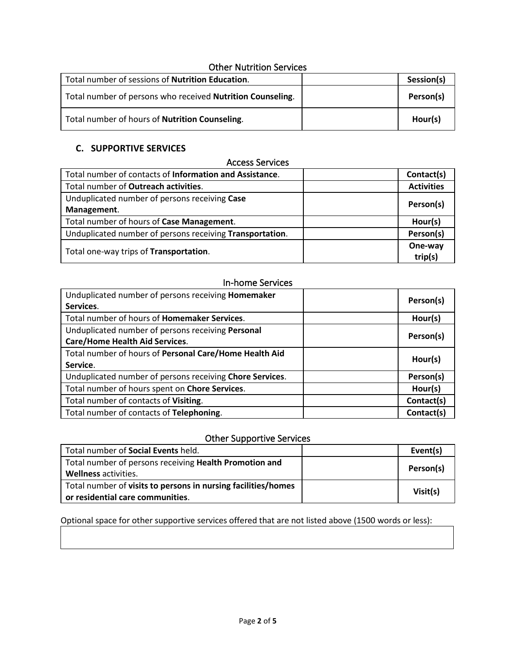## Other Nutrition Services

| Total number of sessions of Nutrition Education.                   | Session(s) |
|--------------------------------------------------------------------|------------|
| Total number of persons who received <b>Nutrition Counseling</b> . | Person(s)  |
| Total number of hours of <b>Nutrition Counseling</b> .             | Hour(s)    |

## **C. SUPPORTIVE SERVICES**

#### Access Services

| Total number of contacts of Information and Assistance.  | Contact(s)        |
|----------------------------------------------------------|-------------------|
| Total number of <b>Outreach activities</b> .             | <b>Activities</b> |
| Unduplicated number of persons receiving Case            | Person(s)         |
| Management.                                              |                   |
| Total number of hours of Case Management.                | Hour(s)           |
| Unduplicated number of persons receiving Transportation. | Person(s)         |
|                                                          |                   |
| Total one-way trips of Transportation.                   | trip(s)           |

#### In-home Services

| Unduplicated number of persons receiving Homemaker       | Person(s)  |
|----------------------------------------------------------|------------|
| Services.                                                |            |
| Total number of hours of Homemaker Services.             | Hour(s)    |
| Unduplicated number of persons receiving Personal        | Person(s)  |
| <b>Care/Home Health Aid Services.</b>                    |            |
| Total number of hours of Personal Care/Home Health Aid   | Hour(s)    |
| Service.                                                 |            |
| Unduplicated number of persons receiving Chore Services. | Person(s)  |
| Total number of hours spent on Chore Services.           | Hour(s)    |
| Total number of contacts of Visiting.                    | Contact(s) |
| Total number of contacts of Telephoning.                 | Contact(s) |

#### Other Supportive Services

| Total number of Social Events held.                                                               | Event(s)  |
|---------------------------------------------------------------------------------------------------|-----------|
| Total number of persons receiving Health Promotion and<br><b>Wellness activities.</b>             | Person(s) |
| Total number of visits to persons in nursing facilities/homes<br>or residential care communities. | Visit(s)  |

Optional space for other supportive services offered that are not listed above (1500 words or less):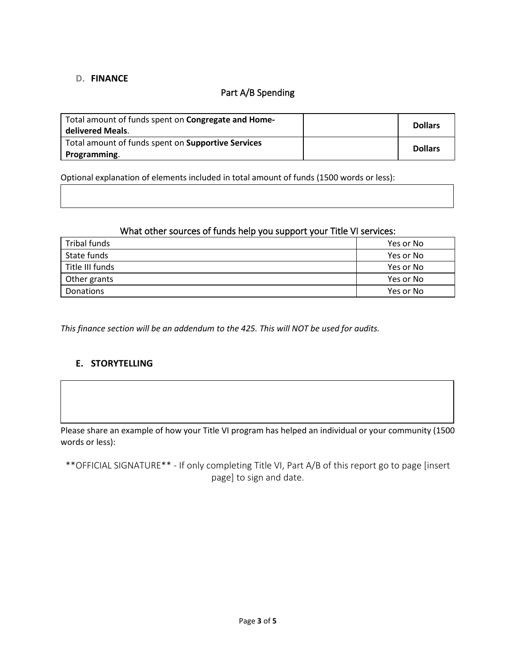### **D. FINANCE**

## Part A/B Spending

| Total amount of funds spent on Congregate and Home-<br>delivered Meals. | <b>Dollars</b> |
|-------------------------------------------------------------------------|----------------|
| Total amount of funds spent on Supportive Services<br>Programming.      | <b>Dollars</b> |

Optional explanation of elements included in total amount of funds (1500 words or less):

## What other sources of funds help you support your Title VI services:

| Tribal funds     | Yes or No |
|------------------|-----------|
| State funds      | Yes or No |
| Title III funds  | Yes or No |
| Other grants     | Yes or No |
| <b>Donations</b> | Yes or No |

*This finance section will be an addendum to the 425. This will NOT be used for audits.* 

## **E. STORYTELLING**

 Please share an example of how your Title VI program has helped an individual or your community (1500 words or less):

 \*\*OFFICIAL SIGNATURE\*\* - If only completing Title VI, Part A/B of this report go to page [insert page] to sign and date.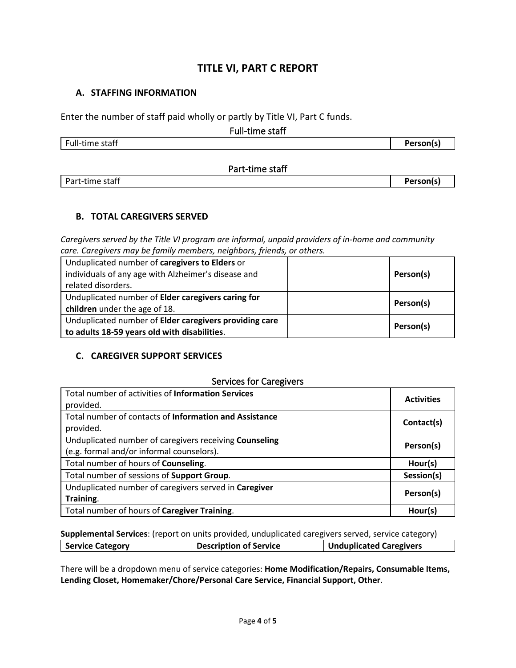# **TITLE VI, PART C REPORT**

#### **A. STAFFING INFORMATION**

Enter the number of staff paid wholly or partly by Title VI, Part C funds.

| Full-time staff |                 |
|-----------------|-----------------|
|                 | Person(s)       |
|                 |                 |
|                 | Part-time staff |

Part-time staff **Person(s) Person(s)** 

## **B. TOTAL CAREGIVERS SERVED**

*Caregivers served by the Title VI program are informal, unpaid providers of in-home and community care. Caregivers may be family members, neighbors, friends, or others.* 

| Unduplicated number of caregivers to Elders or         |           |
|--------------------------------------------------------|-----------|
| individuals of any age with Alzheimer's disease and    | Person(s) |
| related disorders.                                     |           |
| Unduplicated number of Elder caregivers caring for     |           |
| children under the age of 18.                          | Person(s) |
| Unduplicated number of Elder caregivers providing care |           |
| to adults 18-59 years old with disabilities.           | Person(s) |

#### **C. CAREGIVER SUPPORT SERVICES**

#### Services for Caregivers

| Total number of activities of Information Services     | <b>Activities</b> |
|--------------------------------------------------------|-------------------|
| provided.                                              |                   |
| Total number of contacts of Information and Assistance | Contact(s)        |
| provided.                                              |                   |
| Unduplicated number of caregivers receiving Counseling |                   |
| (e.g. formal and/or informal counselors).              | Person(s)         |
| Total number of hours of Counseling.                   | Hour(s)           |
| Total number of sessions of Support Group.             | Session(s)        |
| Unduplicated number of caregivers served in Caregiver  |                   |
| Training.                                              | Person(s)         |
| Total number of hours of Caregiver Training.           | Hour(s)           |

 **Supplemental Services**: (report on units provided, unduplicated caregivers served, service category) **Service Category Description of Service**  Unduplicated Caregivers

 There will be a dropdown menu of service categories: **Home Modification/Repairs, Consumable Items, Lending Closet, Homemaker/Chore/Personal Care Service, Financial Support, Other**.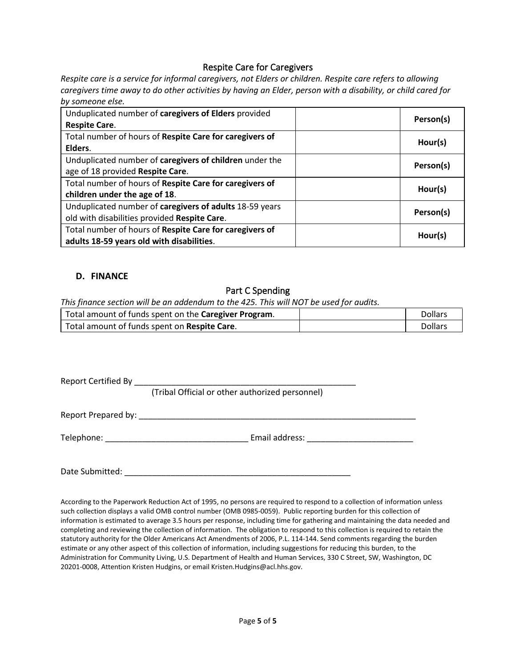#### Respite Care for Caregivers

*Respite care is a service for informal caregivers, not Elders or children. Respite care refers to allowing caregivers time away to do other activities by having an Elder, person with a disability, or child cared for by someone else.* 

| Unduplicated number of caregivers of Elders provided    | Person(s) |
|---------------------------------------------------------|-----------|
| <b>Respite Care.</b>                                    |           |
| Total number of hours of Respite Care for caregivers of | Hour(s)   |
| Elders.                                                 |           |
| Unduplicated number of caregivers of children under the |           |
| age of 18 provided Respite Care.                        | Person(s) |
| Total number of hours of Respite Care for caregivers of |           |
| children under the age of 18.                           | Hour(s)   |
| Unduplicated number of caregivers of adults 18-59 years |           |
| old with disabilities provided Respite Care.            | Person(s) |
| Total number of hours of Respite Care for caregivers of |           |
| adults 18-59 years old with disabilities.               | Hour(s)   |

#### **D. FINANCE**

#### Part C Spending

*This finance section will be an addendum to the 425. This will NOT be used for audits.* 

| Total amount of funds spent on the Caregiver Program. | <b>Dollars</b> |
|-------------------------------------------------------|----------------|
| Total amount of funds spent on Respite Care.          | <b>Dollars</b> |

Report Certified By \_\_\_\_\_

(Tribal Official or other authorized personnel)

Report Prepared by: \_\_\_\_\_\_\_\_\_\_\_\_\_\_\_\_\_\_\_\_\_\_\_\_\_\_\_\_\_\_\_\_\_\_\_\_\_\_\_\_\_\_\_\_\_\_\_\_\_\_\_\_\_\_\_\_\_\_\_\_

Telephone: \_\_\_\_\_\_\_\_\_\_\_\_\_\_\_\_\_\_\_\_\_\_\_\_\_\_\_\_\_\_\_ Email address: \_\_\_\_\_\_\_\_\_\_\_\_\_\_\_\_\_\_\_\_\_\_\_

Date Submitted: \_\_\_\_\_\_\_\_\_\_\_\_\_\_\_\_\_\_\_\_\_\_\_\_\_\_\_\_\_\_\_\_\_\_\_\_\_\_\_\_\_\_\_\_\_\_\_\_\_

 statutory authority for the Older Americans Act Amendments of 2006, P.L. 114-144. Send comments regarding the burden According to the Paperwork Reduction Act of 1995, no persons are required to respond to a collection of information unless such collection displays a valid OMB control number (OMB 0985-0059). Public reporting burden for this collection of information is estimated to average 3.5 hours per response, including time for gathering and maintaining the data needed and completing and reviewing the collection of information. The obligation to respond to this collection is required to retain the estimate or any other aspect of this collection of information, including suggestions for reducing this burden, to the Administration for Community Living, U.S. Department of Health and Human Services, 330 C Street, SW, Washington, DC 20201-0008, Attention Kristen Hudgins, or email [Kristen.Hudgins@acl.hhs.gov](mailto:Kristen.Hudgins@acl.hhs.gov).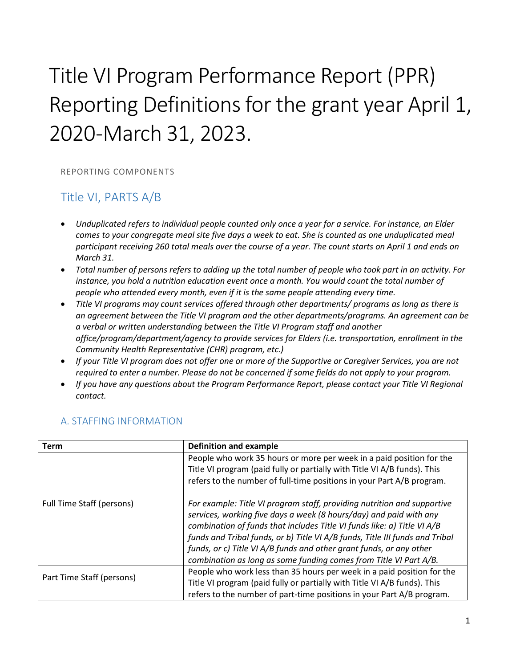# Reporting Definitions for the grant year April 1, 2020-March 31, 2023. Title VI Program Performance Report (PPR)

REPORTING COMPONENTS

# Title VI, PARTS A/B

- *comes to your congregate meal site five days a week to eat. She is counted as one unduplicated meal*  • *Unduplicated refers to individual people counted only once a year for a service. For instance, an Elder participant receiving 260 total meals over the course of a year. The count starts on April 1 and ends on March 31.*
- *Total number of persons refers to adding up the total number of people who took part in an activity. For instance, you hold a nutrition education event once a month. You would count the total number of people who attended every month, even if it is the same people attending every time.*
- *office/program/department/agency to provide services for Elders (i.e. transportation, enrollment in the*  • *Title VI programs may count services offered through other departments/ programs as long as there is an agreement between the Title VI program and the other departments/programs. An agreement can be a verbal or written understanding between the Title VI Program staff and another Community Health Representative (CHR) program, etc.)*
- *required to enter a number. Please do not be concerned if some fields do not apply to your program.* • *If your Title VI program does not offer one or more of the Supportive or Caregiver Services, you are not*
- If you have any questions about the Program Performance Report, please contact your Title VI Regional  *contact.*

| <b>Term</b>               | <b>Definition and example</b>                                                                                                                    |
|---------------------------|--------------------------------------------------------------------------------------------------------------------------------------------------|
|                           | People who work 35 hours or more per week in a paid position for the<br>Title VI program (paid fully or partially with Title VI A/B funds). This |
|                           | refers to the number of full-time positions in your Part A/B program.                                                                            |
| Full Time Staff (persons) | For example: Title VI program staff, providing nutrition and supportive                                                                          |
|                           | services, working five days a week (8 hours/day) and paid with any<br>combination of funds that includes Title VI funds like: a) Title VI A/B    |
|                           | funds and Tribal funds, or b) Title VI A/B funds, Title III funds and Tribal                                                                     |
|                           | funds, or c) Title VI A/B funds and other grant funds, or any other                                                                              |
|                           | combination as long as some funding comes from Title VI Part A/B.                                                                                |
| Part Time Staff (persons) | People who work less than 35 hours per week in a paid position for the                                                                           |
|                           | Title VI program (paid fully or partially with Title VI A/B funds). This                                                                         |
|                           | refers to the number of part-time positions in your Part A/B program.                                                                            |

# A. STAFFING INFORMATION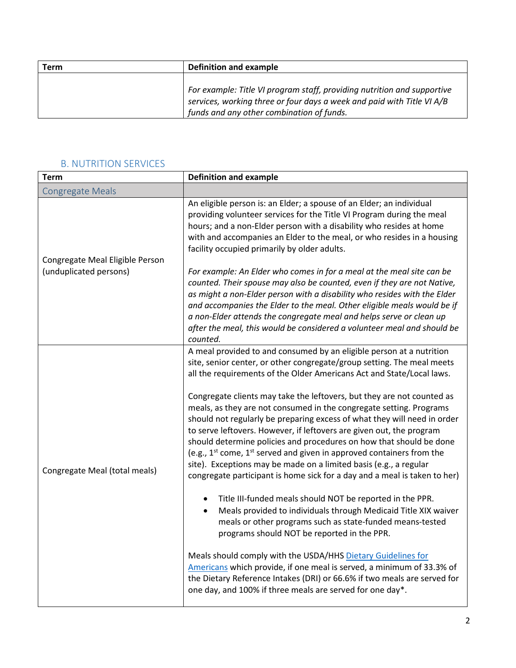| <b>Term</b> | <b>Definition and example</b>                                                                                                                                                                  |
|-------------|------------------------------------------------------------------------------------------------------------------------------------------------------------------------------------------------|
|             | For example: Title VI program staff, providing nutrition and supportive<br>services, working three or four days a week and paid with Title VI A/B<br>funds and any other combination of funds. |

# B. NUTRITION SERVICES

| <b>Term</b>                     | <b>Definition and example</b>                                                                                                                                                                                                                                                                                                                                                                                                                                                                                                                                                                                                                                                                                                                                                                                                                                                                                                                                                                                                                                                                                                                                                                                                                                                                                                                                                                    |
|---------------------------------|--------------------------------------------------------------------------------------------------------------------------------------------------------------------------------------------------------------------------------------------------------------------------------------------------------------------------------------------------------------------------------------------------------------------------------------------------------------------------------------------------------------------------------------------------------------------------------------------------------------------------------------------------------------------------------------------------------------------------------------------------------------------------------------------------------------------------------------------------------------------------------------------------------------------------------------------------------------------------------------------------------------------------------------------------------------------------------------------------------------------------------------------------------------------------------------------------------------------------------------------------------------------------------------------------------------------------------------------------------------------------------------------------|
| <b>Congregate Meals</b>         |                                                                                                                                                                                                                                                                                                                                                                                                                                                                                                                                                                                                                                                                                                                                                                                                                                                                                                                                                                                                                                                                                                                                                                                                                                                                                                                                                                                                  |
| Congregate Meal Eligible Person | An eligible person is: an Elder; a spouse of an Elder; an individual<br>providing volunteer services for the Title VI Program during the meal<br>hours; and a non-Elder person with a disability who resides at home<br>with and accompanies an Elder to the meal, or who resides in a housing<br>facility occupied primarily by older adults.                                                                                                                                                                                                                                                                                                                                                                                                                                                                                                                                                                                                                                                                                                                                                                                                                                                                                                                                                                                                                                                   |
| (unduplicated persons)          | For example: An Elder who comes in for a meal at the meal site can be<br>counted. Their spouse may also be counted, even if they are not Native,<br>as might a non-Elder person with a disability who resides with the Elder<br>and accompanies the Elder to the meal. Other eligible meals would be if<br>a non-Elder attends the congregate meal and helps serve or clean up<br>after the meal, this would be considered a volunteer meal and should be<br>counted.                                                                                                                                                                                                                                                                                                                                                                                                                                                                                                                                                                                                                                                                                                                                                                                                                                                                                                                            |
| Congregate Meal (total meals)   | A meal provided to and consumed by an eligible person at a nutrition<br>site, senior center, or other congregate/group setting. The meal meets<br>all the requirements of the Older Americans Act and State/Local laws.<br>Congregate clients may take the leftovers, but they are not counted as<br>meals, as they are not consumed in the congregate setting. Programs<br>should not regularly be preparing excess of what they will need in order<br>to serve leftovers. However, if leftovers are given out, the program<br>should determine policies and procedures on how that should be done<br>(e.g., $1^{st}$ come, $1^{st}$ served and given in approved containers from the<br>site). Exceptions may be made on a limited basis (e.g., a regular<br>congregate participant is home sick for a day and a meal is taken to her)<br>Title III-funded meals should NOT be reported in the PPR.<br>$\bullet$<br>Meals provided to individuals through Medicaid Title XIX waiver<br>$\bullet$<br>meals or other programs such as state-funded means-tested<br>programs should NOT be reported in the PPR.<br>Meals should comply with the USDA/HHS Dietary Guidelines for<br>Americans which provide, if one meal is served, a minimum of 33.3% of<br>the Dietary Reference Intakes (DRI) or 66.6% if two meals are served for<br>one day, and 100% if three meals are served for one day*. |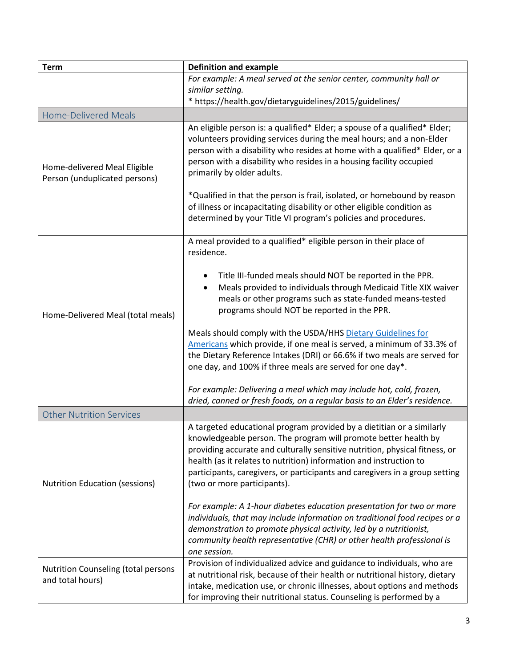| <b>Term</b>                                                    | <b>Definition and example</b>                                                                                                                                                                                                                                                                                                                                                                                                                                                                                                                                 |
|----------------------------------------------------------------|---------------------------------------------------------------------------------------------------------------------------------------------------------------------------------------------------------------------------------------------------------------------------------------------------------------------------------------------------------------------------------------------------------------------------------------------------------------------------------------------------------------------------------------------------------------|
|                                                                | For example: A meal served at the senior center, community hall or                                                                                                                                                                                                                                                                                                                                                                                                                                                                                            |
|                                                                | similar setting.                                                                                                                                                                                                                                                                                                                                                                                                                                                                                                                                              |
|                                                                | * https://health.gov/dietaryguidelines/2015/guidelines/                                                                                                                                                                                                                                                                                                                                                                                                                                                                                                       |
| <b>Home-Delivered Meals</b>                                    |                                                                                                                                                                                                                                                                                                                                                                                                                                                                                                                                                               |
| Home-delivered Meal Eligible<br>Person (unduplicated persons)  | An eligible person is: a qualified* Elder; a spouse of a qualified* Elder;<br>volunteers providing services during the meal hours; and a non-Elder<br>person with a disability who resides at home with a qualified* Elder, or a<br>person with a disability who resides in a housing facility occupied<br>primarily by older adults.<br>*Qualified in that the person is frail, isolated, or homebound by reason<br>of illness or incapacitating disability or other eligible condition as<br>determined by your Title VI program's policies and procedures. |
| Home-Delivered Meal (total meals)                              | A meal provided to a qualified* eligible person in their place of<br>residence.                                                                                                                                                                                                                                                                                                                                                                                                                                                                               |
|                                                                | Title III-funded meals should NOT be reported in the PPR.<br>Meals provided to individuals through Medicaid Title XIX waiver<br>٠<br>meals or other programs such as state-funded means-tested<br>programs should NOT be reported in the PPR.                                                                                                                                                                                                                                                                                                                 |
|                                                                | Meals should comply with the USDA/HHS Dietary Guidelines for<br>Americans which provide, if one meal is served, a minimum of 33.3% of<br>the Dietary Reference Intakes (DRI) or 66.6% if two meals are served for<br>one day, and 100% if three meals are served for one day*.                                                                                                                                                                                                                                                                                |
|                                                                | For example: Delivering a meal which may include hot, cold, frozen,<br>dried, canned or fresh foods, on a regular basis to an Elder's residence.                                                                                                                                                                                                                                                                                                                                                                                                              |
| <b>Other Nutrition Services</b>                                |                                                                                                                                                                                                                                                                                                                                                                                                                                                                                                                                                               |
| <b>Nutrition Education (sessions)</b>                          | A targeted educational program provided by a dietitian or a similarly<br>knowledgeable person. The program will promote better health by<br>providing accurate and culturally sensitive nutrition, physical fitness, or<br>health (as it relates to nutrition) information and instruction to<br>participants, caregivers, or participants and caregivers in a group setting<br>(two or more participants).                                                                                                                                                   |
|                                                                | For example: A 1-hour diabetes education presentation for two or more<br>individuals, that may include information on traditional food recipes or a<br>demonstration to promote physical activity, led by a nutritionist,<br>community health representative (CHR) or other health professional is<br>one session.                                                                                                                                                                                                                                            |
| <b>Nutrition Counseling (total persons</b><br>and total hours) | Provision of individualized advice and guidance to individuals, who are<br>at nutritional risk, because of their health or nutritional history, dietary<br>intake, medication use, or chronic illnesses, about options and methods<br>for improving their nutritional status. Counseling is performed by a                                                                                                                                                                                                                                                    |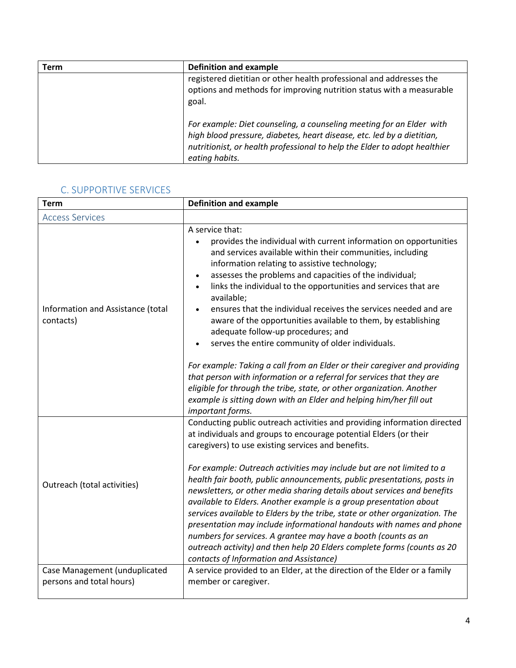| Term | <b>Definition and example</b>                                                                                                                                                                                                                 |
|------|-----------------------------------------------------------------------------------------------------------------------------------------------------------------------------------------------------------------------------------------------|
|      | registered dietitian or other health professional and addresses the<br>options and methods for improving nutrition status with a measurable<br>goal.                                                                                          |
|      | For example: Diet counseling, a counseling meeting for an Elder with<br>high blood pressure, diabetes, heart disease, etc. led by a dietitian,<br>nutritionist, or health professional to help the Elder to adopt healthier<br>eating habits. |

# C. SUPPORTIVE SERVICES

| <b>Term</b>                                                  | <b>Definition and example</b>                                                                                                                                                                                                                                                                                                                                                                                                                                                                                                                                                                                                                                                                                                                                                                                                                                                                                                        |
|--------------------------------------------------------------|--------------------------------------------------------------------------------------------------------------------------------------------------------------------------------------------------------------------------------------------------------------------------------------------------------------------------------------------------------------------------------------------------------------------------------------------------------------------------------------------------------------------------------------------------------------------------------------------------------------------------------------------------------------------------------------------------------------------------------------------------------------------------------------------------------------------------------------------------------------------------------------------------------------------------------------|
| <b>Access Services</b>                                       |                                                                                                                                                                                                                                                                                                                                                                                                                                                                                                                                                                                                                                                                                                                                                                                                                                                                                                                                      |
| Information and Assistance (total<br>contacts)               | A service that:<br>provides the individual with current information on opportunities<br>and services available within their communities, including<br>information relating to assistive technology;<br>assesses the problems and capacities of the individual;<br>links the individual to the opportunities and services that are<br>available;<br>ensures that the individual receives the services needed and are<br>aware of the opportunities available to them, by establishing<br>adequate follow-up procedures; and<br>serves the entire community of older individuals.<br>For example: Taking a call from an Elder or their caregiver and providing<br>that person with information or a referral for services that they are<br>eligible for through the tribe, state, or other organization. Another<br>example is sitting down with an Elder and helping him/her fill out<br>important forms.                             |
| Outreach (total activities)<br>Case Management (unduplicated | Conducting public outreach activities and providing information directed<br>at individuals and groups to encourage potential Elders (or their<br>caregivers) to use existing services and benefits.<br>For example: Outreach activities may include but are not limited to a<br>health fair booth, public announcements, public presentations, posts in<br>newsletters, or other media sharing details about services and benefits<br>available to Elders. Another example is a group presentation about<br>services available to Elders by the tribe, state or other organization. The<br>presentation may include informational handouts with names and phone<br>numbers for services. A grantee may have a booth (counts as an<br>outreach activity) and then help 20 Elders complete forms (counts as 20<br>contacts of Information and Assistance)<br>A service provided to an Elder, at the direction of the Elder or a family |
| persons and total hours)                                     | member or caregiver.                                                                                                                                                                                                                                                                                                                                                                                                                                                                                                                                                                                                                                                                                                                                                                                                                                                                                                                 |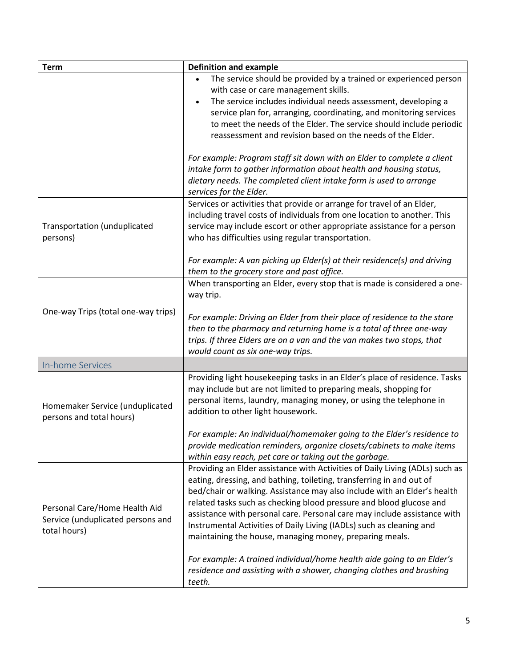| <b>Term</b>                                                                        | <b>Definition and example</b>                                                                                                                                                                                                                                                                                                                                                                                                                                                                                                                                                                                                                                                      |
|------------------------------------------------------------------------------------|------------------------------------------------------------------------------------------------------------------------------------------------------------------------------------------------------------------------------------------------------------------------------------------------------------------------------------------------------------------------------------------------------------------------------------------------------------------------------------------------------------------------------------------------------------------------------------------------------------------------------------------------------------------------------------|
|                                                                                    | The service should be provided by a trained or experienced person<br>with case or care management skills.<br>The service includes individual needs assessment, developing a<br>$\bullet$<br>service plan for, arranging, coordinating, and monitoring services<br>to meet the needs of the Elder. The service should include periodic<br>reassessment and revision based on the needs of the Elder.<br>For example: Program staff sit down with an Elder to complete a client<br>intake form to gather information about health and housing status,<br>dietary needs. The completed client intake form is used to arrange<br>services for the Elder.                               |
| Transportation (unduplicated<br>persons)                                           | Services or activities that provide or arrange for travel of an Elder,<br>including travel costs of individuals from one location to another. This<br>service may include escort or other appropriate assistance for a person<br>who has difficulties using regular transportation.<br>For example: A van picking up Elder(s) at their residence(s) and driving<br>them to the grocery store and post office.                                                                                                                                                                                                                                                                      |
| One-way Trips (total one-way trips)                                                | When transporting an Elder, every stop that is made is considered a one-<br>way trip.<br>For example: Driving an Elder from their place of residence to the store<br>then to the pharmacy and returning home is a total of three one-way<br>trips. If three Elders are on a van and the van makes two stops, that<br>would count as six one-way trips.                                                                                                                                                                                                                                                                                                                             |
| <b>In-home Services</b>                                                            |                                                                                                                                                                                                                                                                                                                                                                                                                                                                                                                                                                                                                                                                                    |
| Homemaker Service (unduplicated<br>persons and total hours)                        | Providing light housekeeping tasks in an Elder's place of residence. Tasks<br>may include but are not limited to preparing meals, shopping for<br>personal items, laundry, managing money, or using the telephone in<br>addition to other light housework.<br>For example: An individual/homemaker going to the Elder's residence to<br>provide medication reminders, organize closets/cabinets to make items<br>within easy reach, pet care or taking out the garbage.                                                                                                                                                                                                            |
| Personal Care/Home Health Aid<br>Service (unduplicated persons and<br>total hours) | Providing an Elder assistance with Activities of Daily Living (ADLs) such as<br>eating, dressing, and bathing, toileting, transferring in and out of<br>bed/chair or walking. Assistance may also include with an Elder's health<br>related tasks such as checking blood pressure and blood glucose and<br>assistance with personal care. Personal care may include assistance with<br>Instrumental Activities of Daily Living (IADLs) such as cleaning and<br>maintaining the house, managing money, preparing meals.<br>For example: A trained individual/home health aide going to an Elder's<br>residence and assisting with a shower, changing clothes and brushing<br>teeth. |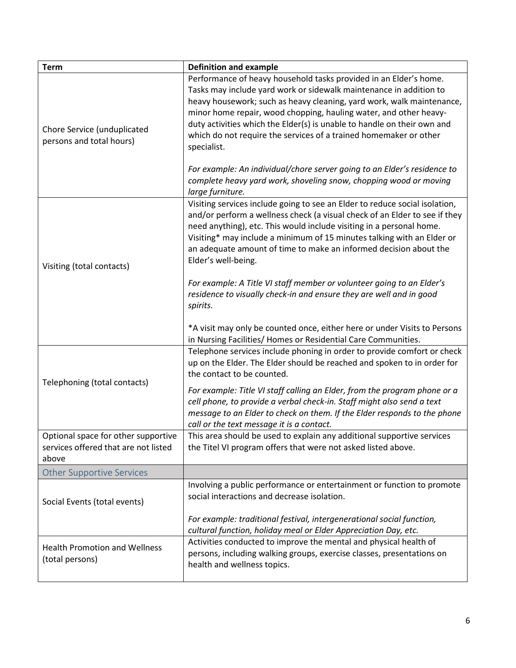| <b>Term</b>                                                                          | <b>Definition and example</b>                                                                                                                                                                                                                                                                                                                                                                                                                                                                                                    |
|--------------------------------------------------------------------------------------|----------------------------------------------------------------------------------------------------------------------------------------------------------------------------------------------------------------------------------------------------------------------------------------------------------------------------------------------------------------------------------------------------------------------------------------------------------------------------------------------------------------------------------|
| Chore Service (unduplicated<br>persons and total hours)                              | Performance of heavy household tasks provided in an Elder's home.<br>Tasks may include yard work or sidewalk maintenance in addition to<br>heavy housework; such as heavy cleaning, yard work, walk maintenance,<br>minor home repair, wood chopping, hauling water, and other heavy-<br>duty activities which the Elder(s) is unable to handle on their own and<br>which do not require the services of a trained homemaker or other<br>specialist.<br>For example: An individual/chore server going to an Elder's residence to |
|                                                                                      | complete heavy yard work, shoveling snow, chopping wood or moving<br>large furniture.                                                                                                                                                                                                                                                                                                                                                                                                                                            |
| Visiting (total contacts)                                                            | Visiting services include going to see an Elder to reduce social isolation,<br>and/or perform a wellness check (a visual check of an Elder to see if they<br>need anything), etc. This would include visiting in a personal home.<br>Visiting* may include a minimum of 15 minutes talking with an Elder or<br>an adequate amount of time to make an informed decision about the<br>Elder's well-being.                                                                                                                          |
|                                                                                      | For example: A Title VI staff member or volunteer going to an Elder's<br>residence to visually check-in and ensure they are well and in good<br>spirits.                                                                                                                                                                                                                                                                                                                                                                         |
|                                                                                      | *A visit may only be counted once, either here or under Visits to Persons<br>in Nursing Facilities/ Homes or Residential Care Communities.                                                                                                                                                                                                                                                                                                                                                                                       |
| Telephoning (total contacts)                                                         | Telephone services include phoning in order to provide comfort or check<br>up on the Elder. The Elder should be reached and spoken to in order for<br>the contact to be counted.                                                                                                                                                                                                                                                                                                                                                 |
|                                                                                      | For example: Title VI staff calling an Elder, from the program phone or a<br>cell phone, to provide a verbal check-in. Staff might also send a text<br>message to an Elder to check on them. If the Elder responds to the phone<br>call or the text message it is a contact.                                                                                                                                                                                                                                                     |
| Optional space for other supportive<br>services offered that are not listed<br>above | This area should be used to explain any additional supportive services<br>the Titel VI program offers that were not asked listed above.                                                                                                                                                                                                                                                                                                                                                                                          |
| <b>Other Supportive Services</b>                                                     |                                                                                                                                                                                                                                                                                                                                                                                                                                                                                                                                  |
| Social Events (total events)                                                         | Involving a public performance or entertainment or function to promote<br>social interactions and decrease isolation.<br>For example: traditional festival, intergenerational social function,                                                                                                                                                                                                                                                                                                                                   |
|                                                                                      | cultural function, holiday meal or Elder Appreciation Day, etc.                                                                                                                                                                                                                                                                                                                                                                                                                                                                  |
| <b>Health Promotion and Wellness</b><br>(total persons)                              | Activities conducted to improve the mental and physical health of<br>persons, including walking groups, exercise classes, presentations on<br>health and wellness topics.                                                                                                                                                                                                                                                                                                                                                        |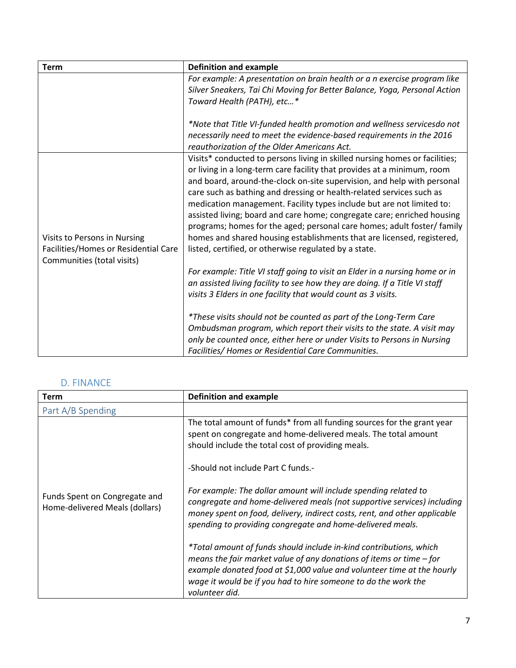| <b>Term</b>                                                                                        | <b>Definition and example</b>                                                                                                                                                                                                                                                                                                                                                                                                                                                                                                                                                                                                                                               |
|----------------------------------------------------------------------------------------------------|-----------------------------------------------------------------------------------------------------------------------------------------------------------------------------------------------------------------------------------------------------------------------------------------------------------------------------------------------------------------------------------------------------------------------------------------------------------------------------------------------------------------------------------------------------------------------------------------------------------------------------------------------------------------------------|
|                                                                                                    | For example: A presentation on brain health or a n exercise program like<br>Silver Sneakers, Tai Chi Moving for Better Balance, Yoga, Personal Action<br>Toward Health (PATH), etc*                                                                                                                                                                                                                                                                                                                                                                                                                                                                                         |
|                                                                                                    | *Note that Title VI-funded health promotion and wellness servicesdo not<br>necessarily need to meet the evidence-based requirements in the 2016<br>reauthorization of the Older Americans Act.                                                                                                                                                                                                                                                                                                                                                                                                                                                                              |
| Visits to Persons in Nursing<br>Facilities/Homes or Residential Care<br>Communities (total visits) | Visits* conducted to persons living in skilled nursing homes or facilities;<br>or living in a long-term care facility that provides at a minimum, room<br>and board, around-the-clock on-site supervision, and help with personal<br>care such as bathing and dressing or health-related services such as<br>medication management. Facility types include but are not limited to:<br>assisted living; board and care home; congregate care; enriched housing<br>programs; homes for the aged; personal care homes; adult foster/ family<br>homes and shared housing establishments that are licensed, registered,<br>listed, certified, or otherwise regulated by a state. |
|                                                                                                    | For example: Title VI staff going to visit an Elder in a nursing home or in<br>an assisted living facility to see how they are doing. If a Title VI staff<br>visits 3 Elders in one facility that would count as 3 visits.                                                                                                                                                                                                                                                                                                                                                                                                                                                  |
|                                                                                                    | *These visits should not be counted as part of the Long-Term Care<br>Ombudsman program, which report their visits to the state. A visit may<br>only be counted once, either here or under Visits to Persons in Nursing<br>Facilities/ Homes or Residential Care Communities.                                                                                                                                                                                                                                                                                                                                                                                                |

# D. FINANCE

| Term                                                            | <b>Definition and example</b>                                                                                                                                                                                                                                                         |
|-----------------------------------------------------------------|---------------------------------------------------------------------------------------------------------------------------------------------------------------------------------------------------------------------------------------------------------------------------------------|
| Part A/B Spending                                               |                                                                                                                                                                                                                                                                                       |
|                                                                 | The total amount of funds* from all funding sources for the grant year<br>spent on congregate and home-delivered meals. The total amount<br>should include the total cost of providing meals.<br>-Should not include Part C funds.-                                                   |
|                                                                 |                                                                                                                                                                                                                                                                                       |
| Funds Spent on Congregate and<br>Home-delivered Meals (dollars) | For example: The dollar amount will include spending related to<br>congregate and home-delivered meals (not supportive services) including<br>money spent on food, delivery, indirect costs, rent, and other applicable<br>spending to providing congregate and home-delivered meals. |
|                                                                 | *Total amount of funds should include in-kind contributions, which<br>means the fair market value of any donations of items or time $-$ for<br>example donated food at \$1,000 value and volunteer time at the hourly                                                                 |
|                                                                 | wage it would be if you had to hire someone to do the work the                                                                                                                                                                                                                        |
|                                                                 | volunteer did.                                                                                                                                                                                                                                                                        |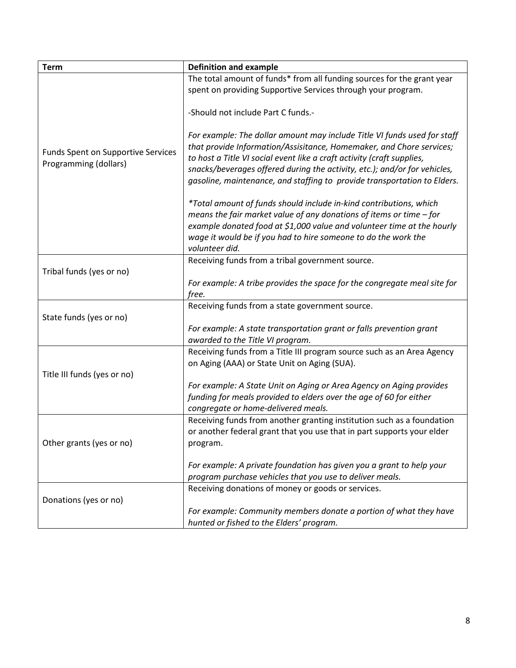| <b>Term</b>                               | <b>Definition and example</b>                                                                                          |
|-------------------------------------------|------------------------------------------------------------------------------------------------------------------------|
|                                           | The total amount of funds* from all funding sources for the grant year                                                 |
|                                           | spent on providing Supportive Services through your program.                                                           |
|                                           |                                                                                                                        |
|                                           | -Should not include Part C funds.-                                                                                     |
|                                           |                                                                                                                        |
|                                           | For example: The dollar amount may include Title VI funds used for staff                                               |
| <b>Funds Spent on Supportive Services</b> | that provide Information/Assisitance, Homemaker, and Chore services;                                                   |
| Programming (dollars)                     | to host a Title VI social event like a craft activity (craft supplies,                                                 |
|                                           | snacks/beverages offered during the activity, etc.); and/or for vehicles,                                              |
|                                           | gasoline, maintenance, and staffing to provide transportation to Elders.                                               |
|                                           | *Total amount of funds should include in-kind contributions, which                                                     |
|                                           | means the fair market value of any donations of items or time $-$ for                                                  |
|                                           | example donated food at \$1,000 value and volunteer time at the hourly                                                 |
|                                           | wage it would be if you had to hire someone to do the work the                                                         |
|                                           | volunteer did.                                                                                                         |
|                                           | Receiving funds from a tribal government source.                                                                       |
| Tribal funds (yes or no)                  |                                                                                                                        |
|                                           | For example: A tribe provides the space for the congregate meal site for                                               |
|                                           | free.                                                                                                                  |
|                                           | Receiving funds from a state government source.                                                                        |
| State funds (yes or no)                   |                                                                                                                        |
|                                           | For example: A state transportation grant or falls prevention grant                                                    |
|                                           | awarded to the Title VI program.                                                                                       |
|                                           | Receiving funds from a Title III program source such as an Area Agency<br>on Aging (AAA) or State Unit on Aging (SUA). |
| Title III funds (yes or no)               |                                                                                                                        |
|                                           | For example: A State Unit on Aging or Area Agency on Aging provides                                                    |
|                                           | funding for meals provided to elders over the age of 60 for either                                                     |
|                                           | congregate or home-delivered meals.                                                                                    |
|                                           | Receiving funds from another granting institution such as a foundation                                                 |
|                                           | or another federal grant that you use that in part supports your elder                                                 |
| Other grants (yes or no)                  | program.                                                                                                               |
|                                           |                                                                                                                        |
|                                           | For example: A private foundation has given you a grant to help your                                                   |
|                                           | program purchase vehicles that you use to deliver meals.                                                               |
|                                           | Receiving donations of money or goods or services.                                                                     |
| Donations (yes or no)                     |                                                                                                                        |
|                                           | For example: Community members donate a portion of what they have                                                      |
|                                           | hunted or fished to the Elders' program.                                                                               |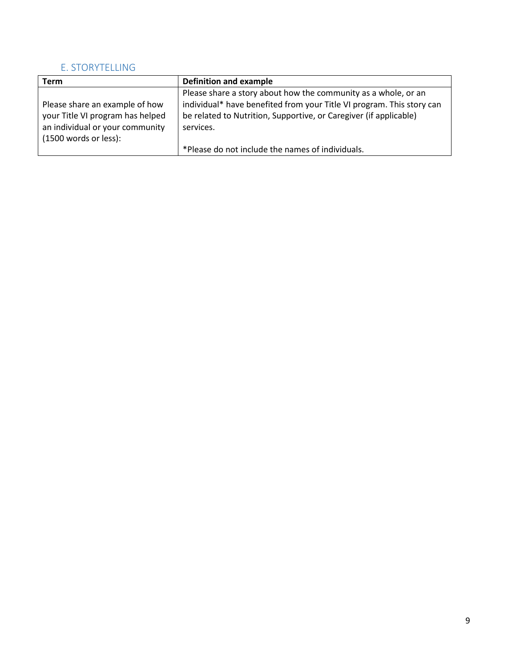# E. STORYTELLING

| <b>Term</b>                                                                                  | <b>Definition and example</b>                                                                                                           |
|----------------------------------------------------------------------------------------------|-----------------------------------------------------------------------------------------------------------------------------------------|
| Please share an example of how                                                               | Please share a story about how the community as a whole, or an<br>individual* have benefited from your Title VI program. This story can |
| your Title VI program has helped<br>an individual or your community<br>(1500 words or less): | be related to Nutrition, Supportive, or Caregiver (if applicable)<br>services.                                                          |
|                                                                                              | *Please do not include the names of individuals.                                                                                        |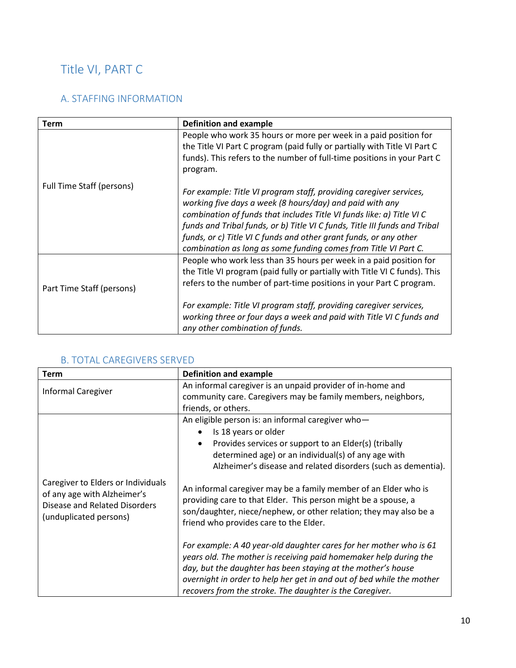# Title VI, PART C

# A. STAFFING INFORMATION

| <b>Term</b>               | Definition and example                                                     |
|---------------------------|----------------------------------------------------------------------------|
|                           | People who work 35 hours or more per week in a paid position for           |
|                           | the Title VI Part C program (paid fully or partially with Title VI Part C  |
|                           | funds). This refers to the number of full-time positions in your Part C    |
|                           | program.                                                                   |
| Full Time Staff (persons) |                                                                            |
|                           | For example: Title VI program staff, providing caregiver services,         |
|                           | working five days a week (8 hours/day) and paid with any                   |
|                           | combination of funds that includes Title VI funds like: a) Title VI C      |
|                           | funds and Tribal funds, or b) Title VI C funds, Title III funds and Tribal |
|                           | funds, or c) Title VI C funds and other grant funds, or any other          |
|                           | combination as long as some funding comes from Title VI Part C.            |
|                           | People who work less than 35 hours per week in a paid position for         |
|                           | the Title VI program (paid fully or partially with Title VI C funds). This |
|                           | refers to the number of part-time positions in your Part C program.        |
| Part Time Staff (persons) |                                                                            |
|                           | For example: Title VI program staff, providing caregiver services,         |
|                           | working three or four days a week and paid with Title VI C funds and       |
|                           | any other combination of funds.                                            |

# B. TOTAL CAREGIVERS SERVED

| <b>Term</b>                                                                                                                  | <b>Definition and example</b>                                                                                                                                                                                                                                                                                                                |
|------------------------------------------------------------------------------------------------------------------------------|----------------------------------------------------------------------------------------------------------------------------------------------------------------------------------------------------------------------------------------------------------------------------------------------------------------------------------------------|
| <b>Informal Caregiver</b>                                                                                                    | An informal caregiver is an unpaid provider of in-home and<br>community care. Caregivers may be family members, neighbors,                                                                                                                                                                                                                   |
|                                                                                                                              | friends, or others.                                                                                                                                                                                                                                                                                                                          |
|                                                                                                                              | An eligible person is: an informal caregiver who-<br>Is 18 years or older<br>$\bullet$<br>Provides services or support to an Elder(s) (tribally<br>$\bullet$<br>determined age) or an individual(s) of any age with<br>Alzheimer's disease and related disorders (such as dementia).                                                         |
| Caregiver to Elders or Individuals<br>of any age with Alzheimer's<br>Disease and Related Disorders<br>(unduplicated persons) | An informal caregiver may be a family member of an Elder who is<br>providing care to that Elder. This person might be a spouse, a<br>son/daughter, niece/nephew, or other relation; they may also be a<br>friend who provides care to the Elder.                                                                                             |
|                                                                                                                              | For example: A 40 year-old daughter cares for her mother who is 61<br>years old. The mother is receiving paid homemaker help during the<br>day, but the daughter has been staying at the mother's house<br>overnight in order to help her get in and out of bed while the mother<br>recovers from the stroke. The daughter is the Caregiver. |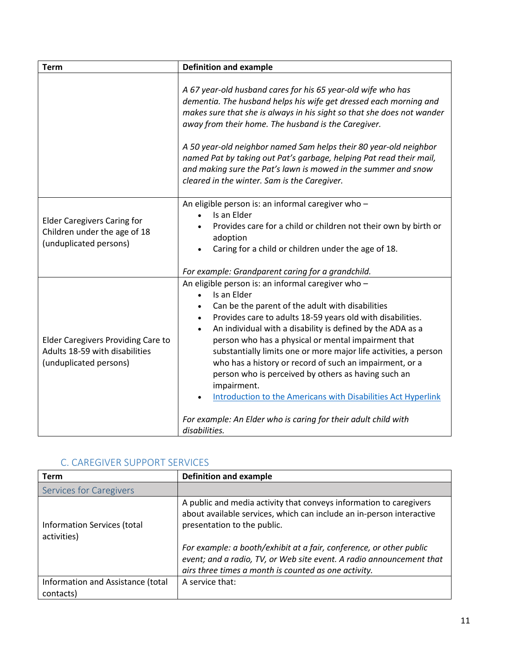| <b>Term</b>                                                                                           | <b>Definition and example</b>                                                                                                                                                                                                                                                                                                                                                                                                                                                                                                                                                                                                                                                                      |
|-------------------------------------------------------------------------------------------------------|----------------------------------------------------------------------------------------------------------------------------------------------------------------------------------------------------------------------------------------------------------------------------------------------------------------------------------------------------------------------------------------------------------------------------------------------------------------------------------------------------------------------------------------------------------------------------------------------------------------------------------------------------------------------------------------------------|
|                                                                                                       | A 67 year-old husband cares for his 65 year-old wife who has<br>dementia. The husband helps his wife get dressed each morning and<br>makes sure that she is always in his sight so that she does not wander<br>away from their home. The husband is the Caregiver.<br>A 50 year-old neighbor named Sam helps their 80 year-old neighbor<br>named Pat by taking out Pat's garbage, helping Pat read their mail,<br>and making sure the Pat's lawn is mowed in the summer and snow<br>cleared in the winter. Sam is the Caregiver.                                                                                                                                                                   |
| <b>Elder Caregivers Caring for</b><br>Children under the age of 18<br>(unduplicated persons)          | An eligible person is: an informal caregiver who -<br>Is an Elder<br>$\bullet$<br>Provides care for a child or children not their own by birth or<br>adoption<br>Caring for a child or children under the age of 18.<br>For example: Grandparent caring for a grandchild.                                                                                                                                                                                                                                                                                                                                                                                                                          |
| <b>Elder Caregivers Providing Care to</b><br>Adults 18-59 with disabilities<br>(unduplicated persons) | An eligible person is: an informal caregiver who -<br>Is an Elder<br>$\bullet$<br>Can be the parent of the adult with disabilities<br>Provides care to adults 18-59 years old with disabilities.<br>$\bullet$<br>An individual with a disability is defined by the ADA as a<br>person who has a physical or mental impairment that<br>substantially limits one or more major life activities, a person<br>who has a history or record of such an impairment, or a<br>person who is perceived by others as having such an<br>impairment.<br><b>Introduction to the Americans with Disabilities Act Hyperlink</b><br>For example: An Elder who is caring for their adult child with<br>disabilities. |

# C. CAREGIVER SUPPORT SERVICES

| Term                                           | <b>Definition and example</b>                                                                                                                                                                       |
|------------------------------------------------|-----------------------------------------------------------------------------------------------------------------------------------------------------------------------------------------------------|
| Services for Caregivers                        |                                                                                                                                                                                                     |
| Information Services (total<br>activities)     | A public and media activity that conveys information to caregivers<br>about available services, which can include an in-person interactive<br>presentation to the public.                           |
|                                                | For example: a booth/exhibit at a fair, conference, or other public<br>event; and a radio, TV, or Web site event. A radio announcement that<br>airs three times a month is counted as one activity. |
| Information and Assistance (total<br>contacts) | A service that:                                                                                                                                                                                     |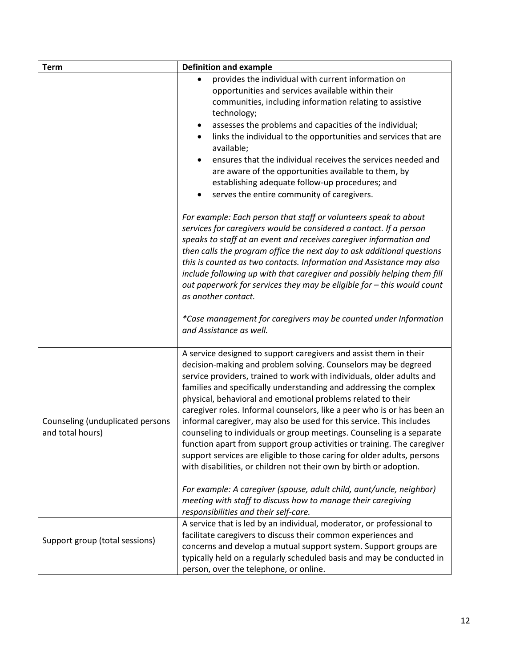| <b>Term</b>                                          | <b>Definition and example</b>                                                                                                                                                                                                                                                                                                                                                                                                                                                                                                                                                                                                                                                                                                                                                                                                                                                                                                                                                                                                                                                                                                                                                                         |
|------------------------------------------------------|-------------------------------------------------------------------------------------------------------------------------------------------------------------------------------------------------------------------------------------------------------------------------------------------------------------------------------------------------------------------------------------------------------------------------------------------------------------------------------------------------------------------------------------------------------------------------------------------------------------------------------------------------------------------------------------------------------------------------------------------------------------------------------------------------------------------------------------------------------------------------------------------------------------------------------------------------------------------------------------------------------------------------------------------------------------------------------------------------------------------------------------------------------------------------------------------------------|
|                                                      | provides the individual with current information on<br>opportunities and services available within their<br>communities, including information relating to assistive<br>technology;<br>assesses the problems and capacities of the individual;<br>links the individual to the opportunities and services that are<br>available;<br>ensures that the individual receives the services needed and<br>are aware of the opportunities available to them, by<br>establishing adequate follow-up procedures; and<br>serves the entire community of caregivers.<br>For example: Each person that staff or volunteers speak to about<br>services for caregivers would be considered a contact. If a person<br>speaks to staff at an event and receives caregiver information and<br>then calls the program office the next day to ask additional questions<br>this is counted as two contacts. Information and Assistance may also<br>include following up with that caregiver and possibly helping them fill<br>out paperwork for services they may be eligible for - this would count<br>as another contact.<br>*Case management for caregivers may be counted under Information<br>and Assistance as well. |
| Counseling (unduplicated persons<br>and total hours) | A service designed to support caregivers and assist them in their<br>decision-making and problem solving. Counselors may be degreed<br>service providers, trained to work with individuals, older adults and<br>families and specifically understanding and addressing the complex<br>physical, behavioral and emotional problems related to their<br>caregiver roles. Informal counselors, like a peer who is or has been an<br>informal caregiver, may also be used for this service. This includes<br>counseling to individuals or group meetings. Counseling is a separate<br>function apart from support group activities or training. The caregiver<br>support services are eligible to those caring for older adults, persons<br>with disabilities, or children not their own by birth or adoption.<br>For example: A caregiver (spouse, adult child, aunt/uncle, neighbor)<br>meeting with staff to discuss how to manage their caregiving<br>responsibilities and their self-care.                                                                                                                                                                                                           |
|                                                      | A service that is led by an individual, moderator, or professional to                                                                                                                                                                                                                                                                                                                                                                                                                                                                                                                                                                                                                                                                                                                                                                                                                                                                                                                                                                                                                                                                                                                                 |
| Support group (total sessions)                       | facilitate caregivers to discuss their common experiences and<br>concerns and develop a mutual support system. Support groups are<br>typically held on a regularly scheduled basis and may be conducted in<br>person, over the telephone, or online.                                                                                                                                                                                                                                                                                                                                                                                                                                                                                                                                                                                                                                                                                                                                                                                                                                                                                                                                                  |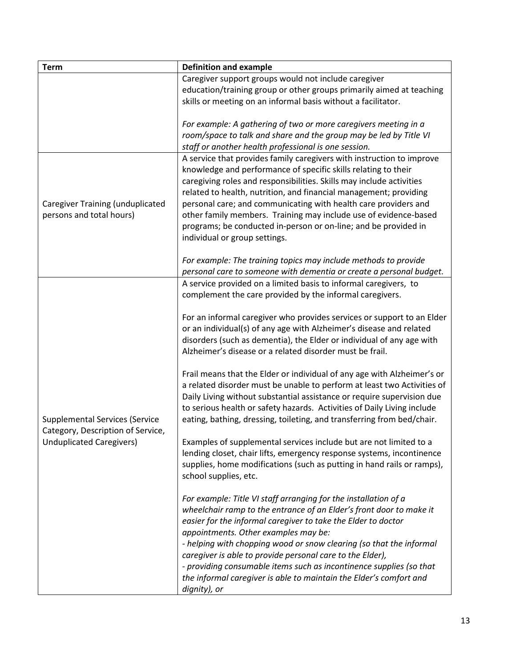| <b>Term</b>                                                                                            | <b>Definition and example</b>                                           |
|--------------------------------------------------------------------------------------------------------|-------------------------------------------------------------------------|
|                                                                                                        | Caregiver support groups would not include caregiver                    |
|                                                                                                        | education/training group or other groups primarily aimed at teaching    |
|                                                                                                        | skills or meeting on an informal basis without a facilitator.           |
|                                                                                                        | For example: A gathering of two or more caregivers meeting in a         |
|                                                                                                        | room/space to talk and share and the group may be led by Title VI       |
|                                                                                                        | staff or another health professional is one session.                    |
|                                                                                                        | A service that provides family caregivers with instruction to improve   |
|                                                                                                        | knowledge and performance of specific skills relating to their          |
|                                                                                                        | caregiving roles and responsibilities. Skills may include activities    |
|                                                                                                        | related to health, nutrition, and financial management; providing       |
| <b>Caregiver Training (unduplicated</b>                                                                | personal care; and communicating with health care providers and         |
| persons and total hours)                                                                               | other family members. Training may include use of evidence-based        |
|                                                                                                        | programs; be conducted in-person or on-line; and be provided in         |
|                                                                                                        | individual or group settings.                                           |
|                                                                                                        | For example: The training topics may include methods to provide         |
|                                                                                                        | personal care to someone with dementia or create a personal budget.     |
|                                                                                                        | A service provided on a limited basis to informal caregivers, to        |
|                                                                                                        | complement the care provided by the informal caregivers.                |
|                                                                                                        |                                                                         |
|                                                                                                        | For an informal caregiver who provides services or support to an Elder  |
|                                                                                                        | or an individual(s) of any age with Alzheimer's disease and related     |
|                                                                                                        | disorders (such as dementia), the Elder or individual of any age with   |
|                                                                                                        | Alzheimer's disease or a related disorder must be frail.                |
|                                                                                                        | Frail means that the Elder or individual of any age with Alzheimer's or |
|                                                                                                        | a related disorder must be unable to perform at least two Activities of |
|                                                                                                        | Daily Living without substantial assistance or require supervision due  |
|                                                                                                        | to serious health or safety hazards. Activities of Daily Living include |
| <b>Supplemental Services (Service</b><br>Category, Description of Service,<br>Unduplicated Caregivers) | eating, bathing, dressing, toileting, and transferring from bed/chair.  |
|                                                                                                        |                                                                         |
|                                                                                                        | Examples of supplemental services include but are not limited to a      |
|                                                                                                        | lending closet, chair lifts, emergency response systems, incontinence   |
|                                                                                                        | supplies, home modifications (such as putting in hand rails or ramps),  |
|                                                                                                        | school supplies, etc.                                                   |
|                                                                                                        | For example: Title VI staff arranging for the installation of a         |
|                                                                                                        | wheelchair ramp to the entrance of an Elder's front door to make it     |
|                                                                                                        | easier for the informal caregiver to take the Elder to doctor           |
|                                                                                                        | appointments. Other examples may be:                                    |
|                                                                                                        | - helping with chopping wood or snow clearing (so that the informal     |
|                                                                                                        | caregiver is able to provide personal care to the Elder),               |
|                                                                                                        | - providing consumable items such as incontinence supplies (so that     |
|                                                                                                        | the informal caregiver is able to maintain the Elder's comfort and      |
|                                                                                                        | dignity), or                                                            |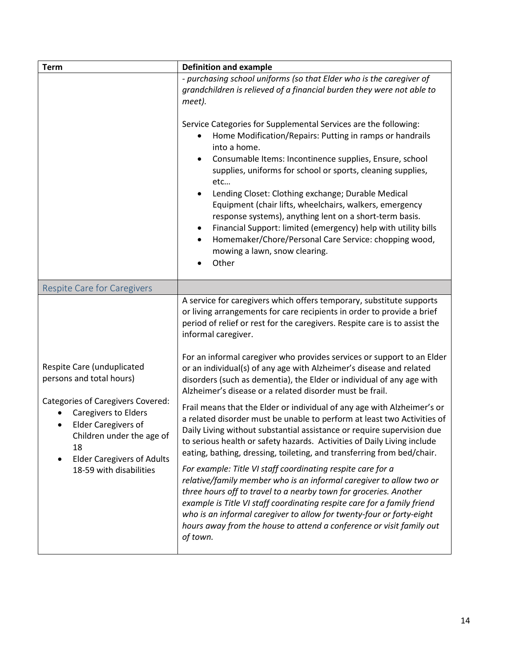| <b>Term</b>                                                                                                                                                                                                                                                 | <b>Definition and example</b>                                                                                                                                                                                                                                                                                                                                                                                                                                                                                                                                                                                                                                                                                                                                                                                                                                                                                                                                                                                                                                                                                                             |
|-------------------------------------------------------------------------------------------------------------------------------------------------------------------------------------------------------------------------------------------------------------|-------------------------------------------------------------------------------------------------------------------------------------------------------------------------------------------------------------------------------------------------------------------------------------------------------------------------------------------------------------------------------------------------------------------------------------------------------------------------------------------------------------------------------------------------------------------------------------------------------------------------------------------------------------------------------------------------------------------------------------------------------------------------------------------------------------------------------------------------------------------------------------------------------------------------------------------------------------------------------------------------------------------------------------------------------------------------------------------------------------------------------------------|
|                                                                                                                                                                                                                                                             | - purchasing school uniforms (so that Elder who is the caregiver of<br>grandchildren is relieved of a financial burden they were not able to<br>meet).                                                                                                                                                                                                                                                                                                                                                                                                                                                                                                                                                                                                                                                                                                                                                                                                                                                                                                                                                                                    |
|                                                                                                                                                                                                                                                             | Service Categories for Supplemental Services are the following:<br>Home Modification/Repairs: Putting in ramps or handrails<br>into a home.<br>Consumable Items: Incontinence supplies, Ensure, school<br>supplies, uniforms for school or sports, cleaning supplies,<br>etc<br>Lending Closet: Clothing exchange; Durable Medical<br>Equipment (chair lifts, wheelchairs, walkers, emergency<br>response systems), anything lent on a short-term basis.<br>Financial Support: limited (emergency) help with utility bills<br>$\bullet$<br>Homemaker/Chore/Personal Care Service: chopping wood,<br>$\bullet$<br>mowing a lawn, snow clearing.<br>Other                                                                                                                                                                                                                                                                                                                                                                                                                                                                                   |
| <b>Respite Care for Caregivers</b>                                                                                                                                                                                                                          |                                                                                                                                                                                                                                                                                                                                                                                                                                                                                                                                                                                                                                                                                                                                                                                                                                                                                                                                                                                                                                                                                                                                           |
| Respite Care (unduplicated<br>persons and total hours)<br>Categories of Caregivers Covered:<br><b>Caregivers to Elders</b><br><b>Elder Caregivers of</b><br>Children under the age of<br>18<br><b>Elder Caregivers of Adults</b><br>18-59 with disabilities | A service for caregivers which offers temporary, substitute supports<br>or living arrangements for care recipients in order to provide a brief<br>period of relief or rest for the caregivers. Respite care is to assist the<br>informal caregiver.<br>For an informal caregiver who provides services or support to an Elder<br>or an individual(s) of any age with Alzheimer's disease and related<br>disorders (such as dementia), the Elder or individual of any age with<br>Alzheimer's disease or a related disorder must be frail.<br>Frail means that the Elder or individual of any age with Alzheimer's or<br>a related disorder must be unable to perform at least two Activities of<br>Daily Living without substantial assistance or require supervision due<br>to serious health or safety hazards. Activities of Daily Living include<br>eating, bathing, dressing, toileting, and transferring from bed/chair.<br>For example: Title VI staff coordinating respite care for a<br>relative/family member who is an informal caregiver to allow two or<br>three hours off to travel to a nearby town for groceries. Another |
|                                                                                                                                                                                                                                                             | example is Title VI staff coordinating respite care for a family friend<br>who is an informal caregiver to allow for twenty-four or forty-eight<br>hours away from the house to attend a conference or visit family out<br>of town.                                                                                                                                                                                                                                                                                                                                                                                                                                                                                                                                                                                                                                                                                                                                                                                                                                                                                                       |